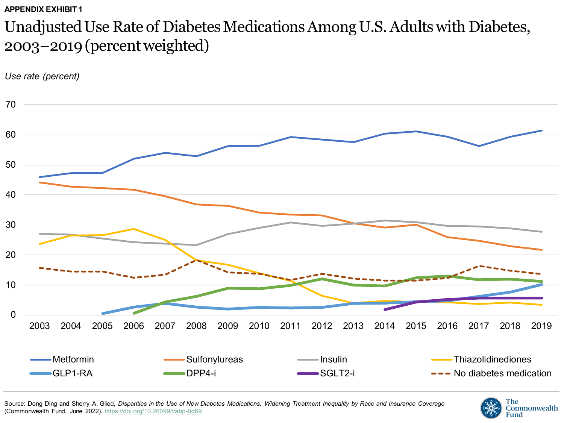### Unadjusted Use Rate of Diabetes Medications Among U.S. Adults with Diabetes, 2003–2019 (percent weighted)



Source: Dong Ding and Sherry A. Glied, *Disparities in the Use of New Diabetes Medications: Widening Treatment Inequality by Race and Insurance Coverage* (Commonwealth Fund, June 2022). <https://doi.org/10.26099/vabp-0g69>

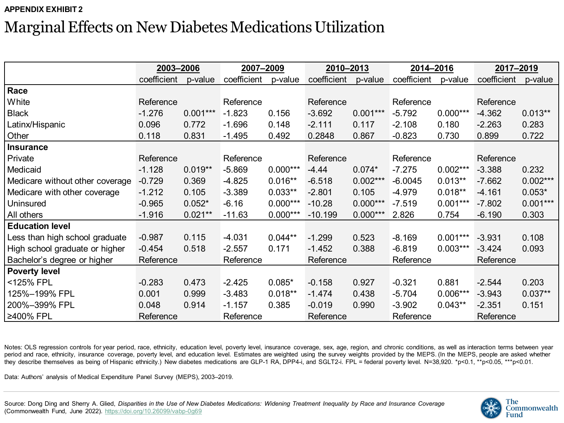## Marginal Effects on New Diabetes Medications Utilization

|                                 | 2003-2006   |            | 2007-2009   |            | 2010-2013   |            | 2014-2016   |            | 2017-2019   |            |
|---------------------------------|-------------|------------|-------------|------------|-------------|------------|-------------|------------|-------------|------------|
|                                 | coefficient | p-value    | coefficient | p-value    | coefficient | p-value    | coefficient | p-value    | coefficient | p-value    |
| Race                            |             |            |             |            |             |            |             |            |             |            |
| White                           | Reference   |            | Reference   |            | Reference   |            | Reference   |            | Reference   |            |
| <b>Black</b>                    | $-1.276$    | $0.001***$ | $-1.823$    | 0.156      | $-3.692$    | $0.001***$ | $-5.792$    | $0.000***$ | $-4.362$    | $0.013**$  |
| Latinx/Hispanic                 | 0.096       | 0.772      | $-1.696$    | 0.148      | $-2.111$    | 0.117      | $-2.108$    | 0.180      | $-2.263$    | 0.283      |
| Other                           | 0.118       | 0.831      | $-1.495$    | 0.492      | 0.2848      | 0.867      | $-0.823$    | 0.730      | 0.899       | 0.722      |
| <b>Insurance</b>                |             |            |             |            |             |            |             |            |             |            |
| Private                         | Reference   |            | Reference   |            | Reference   |            | Reference   |            | Reference   |            |
| Medicaid                        | $-1.128$    | $0.019**$  | $-5.869$    | $0.000***$ | $-4.44$     | $0.074*$   | $-7.275$    | $0.002***$ | $-3.388$    | 0.232      |
| Medicare without other coverage | $-0.729$    | 0.369      | $-4.825$    | $0.016**$  | $-6.518$    | $0.002***$ | $-6.0045$   | $0.013**$  | $-7.662$    | $0.002***$ |
| Medicare with other coverage    | $-1.212$    | 0.105      | $-3.389$    | $0.033**$  | $-2.801$    | 0.105      | $-4.979$    | $0.018**$  | $-4.161$    | $0.053*$   |
| Uninsured                       | $-0.965$    | $0.052*$   | $-6.16$     | $0.000***$ | $-10.28$    | $0.000***$ | $-7.519$    | $0.001***$ | $-7.802$    | $0.001***$ |
| All others                      | $-1.916$    | $0.021**$  | $-11.63$    | $0.000***$ | $-10.199$   | $0.000***$ | 2.826       | 0.754      | $-6.190$    | 0.303      |
| <b>Education level</b>          |             |            |             |            |             |            |             |            |             |            |
| Less than high school graduate  | $-0.987$    | 0.115      | $-4.031$    | $0.044**$  | $-1.299$    | 0.523      | $-8.169$    | $0.001***$ | $-3.931$    | 0.108      |
| High school graduate or higher  | $-0.454$    | 0.518      | $-2.557$    | 0.171      | $-1.452$    | 0.388      | $-6.819$    | $0.003***$ | $-3.424$    | 0.093      |
| Bachelor's degree or higher     | Reference   |            | Reference   |            | Reference   |            | Reference   |            | Reference   |            |
| <b>Poverty level</b>            |             |            |             |            |             |            |             |            |             |            |
| <125% FPL                       | $-0.283$    | 0.473      | $-2.425$    | $0.085*$   | $-0.158$    | 0.927      | $-0.321$    | 0.881      | $-2.544$    | 0.203      |
| 125%-199% FPL                   | 0.001       | 0.999      | $-3.483$    | $0.018**$  | $-1.474$    | 0.438      | $-5.704$    | $0.006***$ | $-3.943$    | $0.037**$  |
| 200%-399% FPL                   | 0.048       | 0.914      | $-1.157$    | 0.385      | $-0.019$    | 0.990      | $-3.902$    | $0.043**$  | $-2.351$    | 0.151      |
| ≥400% FPL                       | Reference   |            | Reference   |            | Reference   |            | Reference   |            | Reference   |            |

Notes: OLS regression controls for year period, race, ethnicity, education level, poverty level, insurance coverage, sex, age, region, and chronic conditions, as well as interaction terms between year period and race, ethnicity, insurance coverage, poverty level, and education level. Estimates are weighted using the survey weights provided by the MEPS. (In the MEPS, people are asked whether they describe themselves as being of Hispanic ethnicity.) New diabetes medications are GLP-1 RA, DPP4-i, and SGLT2-i. FPL = federal poverty level. N=38,920. \*p<0.1, \*\*p<0.05, \*\*\*p<0.01.

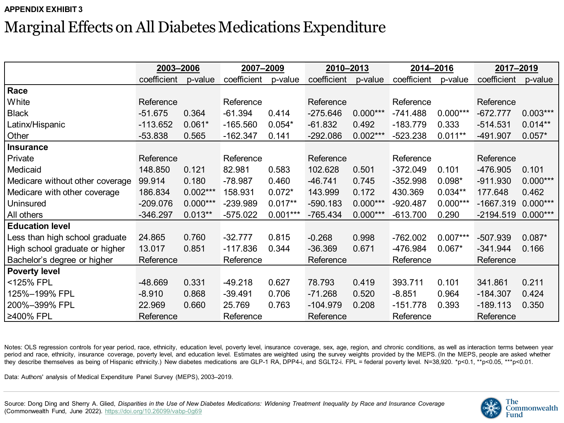# Marginal Effects on All Diabetes Medications Expenditure

|                                 | 2003-2006   |            | 2007-2009   |            | 2010-2013   |            | 2014-2016   |            | 2017-2019   |            |
|---------------------------------|-------------|------------|-------------|------------|-------------|------------|-------------|------------|-------------|------------|
|                                 | coefficient | p-value    | coefficient | p-value    | coefficient | p-value    | coefficient | p-value    | coefficient | p-value    |
| Race                            |             |            |             |            |             |            |             |            |             |            |
| White                           | Reference   |            | Reference   |            | Reference   |            | Reference   |            | Reference   |            |
| <b>Black</b>                    | $-51.675$   | 0.364      | $-61.394$   | 0.414      | $-275.646$  | $0.000***$ | $-741.488$  | $0.000***$ | $-672.777$  | $0.003***$ |
| Latinx/Hispanic                 | -113.652    | $0.061*$   | $-165.560$  | $0.054*$   | $-61.832$   | 0.492      | $-183.779$  | 0.333      | $-514.531$  | $0.014**$  |
| Other                           | $-53.838$   | 0.565      | $-162.347$  | 0.141      | $-292.086$  | $0.002***$ | $-523.238$  | $0.011**$  | -491.907    | $0.057*$   |
| <b>Insurance</b>                |             |            |             |            |             |            |             |            |             |            |
| Private                         | Reference   |            | Reference   |            | Reference   |            | Reference   |            | Reference   |            |
| Medicaid                        | 148.850     | 0.121      | 82.981      | 0.583      | 102.628     | 0.501      | $-372.049$  | 0.101      | -476.905    | 0.101      |
| Medicare without other coverage | 99.914      | 0.180      | $-78.987$   | 0.460      | $-46.741$   | 0.745      | $-352.998$  | $0.098*$   | $-911.930$  | $0.000***$ |
| Medicare with other coverage    | 186.834     | $0.002***$ | 158.931     | $0.072*$   | 143.999     | 0.172      | 430.369     | $0.034**$  | 177.648     | 0.462      |
| Uninsured                       | $-209.076$  | $0.000***$ | -239.989    | $0.017**$  | $-590.183$  | $0.000***$ | $-920.487$  | $0.000***$ | $-1667.319$ | $0.000***$ |
| All others                      | $-346.297$  | $0.013**$  | $-575.022$  | $0.001***$ | $-765.434$  | $0.000***$ | $-613.700$  | 0.290      | $-2194.519$ | $0.000***$ |
| <b>Education level</b>          |             |            |             |            |             |            |             |            |             |            |
| Less than high school graduate  | 24.865      | 0.760      | $-32.777$   | 0.815      | $-0.268$    | 0.998      | $-762.002$  | $0.007***$ | $-507.939$  | $0.087*$   |
| High school graduate or higher  | 13.017      | 0.851      | $-117.836$  | 0.344      | $-36.369$   | 0.671      | -476.984    | $0.067*$   | $-341.944$  | 0.166      |
| Bachelor's degree or higher     | Reference   |            | Reference   |            | Reference   |            | Reference   |            | Reference   |            |
| <b>Poverty level</b>            |             |            |             |            |             |            |             |            |             |            |
| <125% FPL                       | $-48.669$   | 0.331      | $-49.218$   | 0.627      | 78.793      | 0.419      | 393.711     | 0.101      | 341.861     | 0.211      |
| 125%-199% FPL                   | $-8.910$    | 0.868      | $-39.491$   | 0.706      | $-71.268$   | 0.520      | $-8.851$    | 0.964      | $-184.307$  | 0.424      |
| 200%-399% FPL                   | 22.969      | 0.660      | 25.769      | 0.763      | $-104.979$  | 0.208      | $-151.778$  | 0.393      | $-189.113$  | 0.350      |
| ≥400% FPL                       | Reference   |            | Reference   |            | Reference   |            | Reference   |            | Reference   |            |

Notes: OLS regression controls for year period, race, ethnicity, education level, poverty level, insurance coverage, sex, age, region, and chronic conditions, as well as interaction terms between year period and race, ethnicity, insurance coverage, poverty level, and education level. Estimates are weighted using the survey weights provided by the MEPS. (In the MEPS, people are asked whether they describe themselves as being of Hispanic ethnicity.) New diabetes medications are GLP-1 RA, DPP4-i, and SGLT2-i. FPL = federal poverty level. N=38,920. \*p<0.1, \*\*p<0.05, \*\*\*p<0.01.

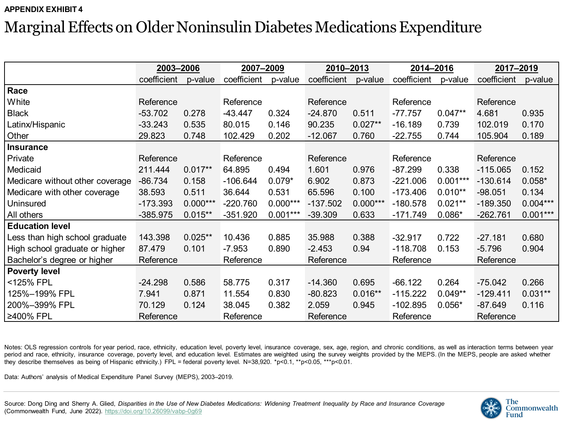# Marginal Effects on Older Noninsulin Diabetes Medications Expenditure

|                                 | 2003-2006   |            | 2007-2009   |            | 2010-2013   |            | 2014-2016   |            | 2017-2019   |            |
|---------------------------------|-------------|------------|-------------|------------|-------------|------------|-------------|------------|-------------|------------|
|                                 | coefficient | p-value    | coefficient | p-value    | coefficient | p-value    | coefficient | p-value    | coefficient | p-value    |
| Race                            |             |            |             |            |             |            |             |            |             |            |
| White                           | Reference   |            | Reference   |            | Reference   |            | Reference   |            | Reference   |            |
| <b>Black</b>                    | $-53.702$   | 0.278      | $-43.447$   | 0.324      | $-24.870$   | 0.511      | $-77.757$   | $0.047**$  | 4.681       | 0.935      |
| Latinx/Hispanic                 | $-33.243$   | 0.535      | 80.015      | 0.146      | 90.235      | $0.027**$  | $-16.189$   | 0.739      | 102.019     | 0.170      |
| Other                           | 29.823      | 0.748      | 102.429     | 0.202      | $-12.067$   | 0.760      | $-22.755$   | 0.744      | 105.904     | 0.189      |
| <b>Insurance</b>                |             |            |             |            |             |            |             |            |             |            |
| Private                         | Reference   |            | Reference   |            | Reference   |            | Reference   |            | Reference   |            |
| Medicaid                        | 211.444     | $0.017**$  | 64.895      | 0.494      | 1.601       | 0.976      | $-87.299$   | 0.338      | $-115.065$  | 0.152      |
| Medicare without other coverage | $-86.734$   | 0.158      | $-106.644$  | $0.079*$   | 6.902       | 0.873      | $-221.006$  | $0.001***$ | $-130.614$  | $0.058*$   |
| Medicare with other coverage    | 38.593      | 0.511      | 36.644      | 0.531      | 65.596      | 0.100      | $-173.406$  | $0.010**$  | $-98.051$   | 0.134      |
| Uninsured                       | -173.393    | $0.000***$ | $-220.760$  | $0.000***$ | $-137.502$  | $0.000***$ | $-180.578$  | $0.021**$  | $-189.350$  | $0.004***$ |
| All others                      | -385.975    | $0.015**$  | $-351.920$  | $0.001***$ | $-39.309$   | 0.633      | $-171.749$  | $0.086*$   | $-262.761$  | $0.001***$ |
| <b>Education level</b>          |             |            |             |            |             |            |             |            |             |            |
| Less than high school graduate  | 143.398     | $0.025**$  | 10.436      | 0.885      | 35.988      | 0.388      | $-32.917$   | 0.722      | $-27.181$   | 0.680      |
| High school graduate or higher  | 87.479      | 0.101      | $-7.953$    | 0.890      | $-2.453$    | 0.94       | $-118.708$  | 0.153      | $-5.796$    | 0.904      |
| Bachelor's degree or higher     | Reference   |            | Reference   |            | Reference   |            | Reference   |            | Reference   |            |
| <b>Poverty level</b>            |             |            |             |            |             |            |             |            |             |            |
| <125% FPL                       | $-24.298$   | 0.586      | 58.775      | 0.317      | $-14.360$   | 0.695      | $-66.122$   | 0.264      | $-75.042$   | 0.266      |
| 125%-199% FPL                   | 7.941       | 0.871      | 11.554      | 0.830      | $-80.823$   | $0.016**$  | $-115.222$  | $0.049**$  | $-129.411$  | $0.031**$  |
| 200%-399% FPL                   | 70.129      | 0.124      | 38.045      | 0.382      | 2.059       | 0.945      | $-102.895$  | $0.056*$   | $-87.649$   | 0.116      |
| ≥400% FPL                       | Reference   |            | Reference   |            | Reference   |            | Reference   |            | Reference   |            |

Notes: OLS regression controls for year period, race, ethnicity, education level, poverty level, insurance coverage, sex, age, region, and chronic conditions, as well as interaction terms between year period and race, ethnicity, insurance coverage, poverty level, and education level. Estimates are weighted using the survey weights provided by the MEPS. (In the MEPS, people are asked whether they describe themselves as being of Hispanic ethnicity.) FPL = federal poverty level. N=38,920. \*p<0.1, \*\*p<0.05, \*\*\*p<0.01.